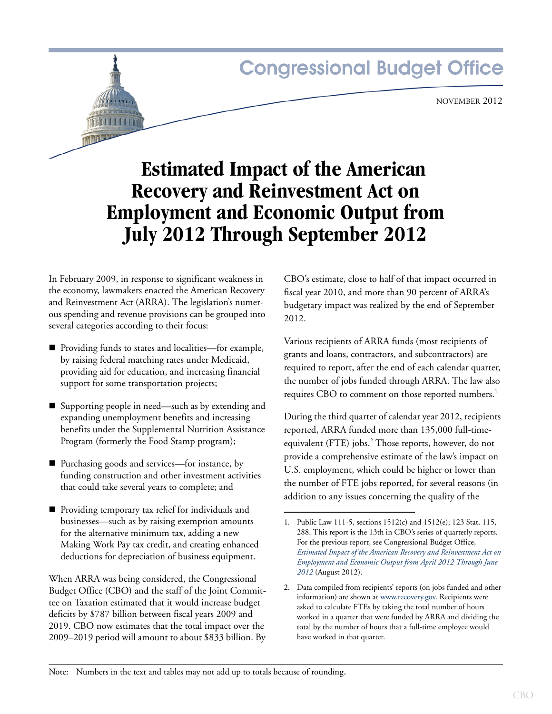# **Congressional Budget Office**

NOVEMBER 2012

# **Estimated Impact of the American Recovery and Reinvestment Act on Employment and Economic Output from July 2012 Through September 2012**

In February 2009, in response to significant weakness in the economy, lawmakers enacted the American Recovery and Reinvestment Act (ARRA). The legislation's numerous spending and revenue provisions can be grouped into several categories according to their focus:

- Providing funds to states and localities—for example, by raising federal matching rates under Medicaid, providing aid for education, and increasing financial support for some transportation projects;
- Supporting people in need—such as by extending and expanding unemployment benefits and increasing benefits under the Supplemental Nutrition Assistance Program (formerly the Food Stamp program);
- Purchasing goods and services—for instance, by funding construction and other investment activities that could take several years to complete; and
- **Providing temporary tax relief for individuals and** businesses—such as by raising exemption amounts for the alternative minimum tax, adding a new Making Work Pay tax credit, and creating enhanced deductions for depreciation of business equipment.

When ARRA was being considered, the Congressional Budget Office (CBO) and the staff of the Joint Committee on Taxation estimated that it would increase budget deficits by \$787 billion between fiscal years 2009 and 2019. CBO now estimates that the total impact over the 2009–2019 period will amount to about \$833 billion. By CBO's estimate, close to half of that impact occurred in fiscal year 2010, and more than 90 percent of ARRA's budgetary impact was realized by the end of September 2012.

Various recipients of ARRA funds (most recipients of grants and loans, contractors, and subcontractors) are required to report, after the end of each calendar quarter, the number of jobs funded through ARRA. The law also requires CBO to comment on those reported numbers.<sup>1</sup>

During the third quarter of calendar year 2012, recipients reported, ARRA funded more than 135,000 full-timeequivalent (FTE) jobs.<sup>2</sup> Those reports, however, do not provide a comprehensive estimate of the law's impact on U.S. employment, which could be higher or lower than the number of FTE jobs reported, for several reasons (in addition to any issues concerning the quality of the

Note: Numbers in the text and tables may not add up to totals because of rounding.

<sup>1.</sup> Public Law 111-5, sections 1512(c) and 1512(e); 123 Stat. 115, 288. This report is the 13th in CBO's series of quarterly reports. For the previous report, see Congressional Budget Office, *[Estimated Impact of the American Recovery and Reinvestment Act on](http://www.cbo.gov/publication/43552)  [Employment and Economic Output from April 2012 Through June](http://www.cbo.gov/publication/43552)  [2012](http://www.cbo.gov/publication/43552)* (August 2012).

<sup>2.</sup> Data compiled from recipients' reports (on jobs funded and other information) are shown at www.recovery.gov. Recipients were asked to calculate FTEs by taking the total number of hours worked in a quarter that were funded by ARRA and dividing the total by the number of hours that a full-time employee would have worked in that quarter.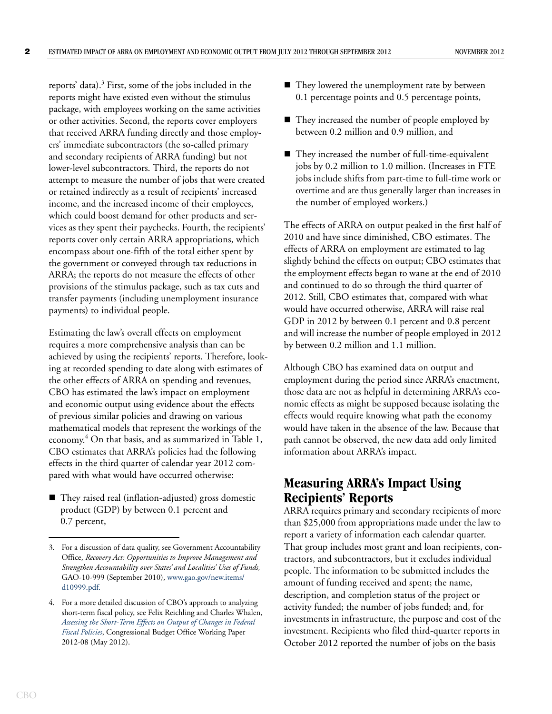reports' data).<sup>3</sup> First, some of the jobs included in the reports might have existed even without the stimulus package, with employees working on the same activities or other activities. Second, the reports cover employers that received ARRA funding directly and those employers' immediate subcontractors (the so-called primary and secondary recipients of ARRA funding) but not lower-level subcontractors. Third, the reports do not attempt to measure the number of jobs that were created or retained indirectly as a result of recipients' increased income, and the increased income of their employees, which could boost demand for other products and services as they spent their paychecks. Fourth, the recipients' reports cover only certain ARRA appropriations, which encompass about one-fifth of the total either spent by the government or conveyed through tax reductions in ARRA; the reports do not measure the effects of other provisions of the stimulus package, such as tax cuts and transfer payments (including unemployment insurance payments) to individual people.

Estimating the law's overall effects on employment requires a more comprehensive analysis than can be achieved by using the recipients' reports. Therefore, looking at recorded spending to date along with estimates of the other effects of ARRA on spending and revenues, CBO has estimated the law's impact on employment and economic output using evidence about the effects of previous similar policies and drawing on various mathematical models that represent the workings of the economy.<sup>4</sup> On that basis, and as summarized in [Table 1,](#page-2-0) CBO estimates that ARRA's policies had the following effects in the third quarter of calendar year 2012 compared with what would have occurred otherwise:

■ They raised real (inflation-adjusted) gross domestic product (GDP) by between 0.1 percent and 0.7 percent,

- They lowered the unemployment rate by between 0.1 percentage points and 0.5 percentage points,
- They increased the number of people employed by between 0.2 million and 0.9 million, and
- They increased the number of full-time-equivalent jobs by 0.2 million to 1.0 million. (Increases in FTE jobs include shifts from part-time to full-time work or overtime and are thus generally larger than increases in the number of employed workers.)

The effects of ARRA on output peaked in the first half of 2010 and have since diminished, CBO estimates. The effects of ARRA on employment are estimated to lag slightly behind the effects on output; CBO estimates that the employment effects began to wane at the end of 2010 and continued to do so through the third quarter of 2012. Still, CBO estimates that, compared with what would have occurred otherwise, ARRA will raise real GDP in 2012 by between 0.1 percent and 0.8 percent and will increase the number of people employed in 2012 by between 0.2 million and 1.1 million.

Although CBO has examined data on output and employment during the period since ARRA's enactment, those data are not as helpful in determining ARRA's economic effects as might be supposed because isolating the effects would require knowing what path the economy would have taken in the absence of the law. Because that path cannot be observed, the new data add only limited information about ARRA's impact.

# **Measuring ARRA's Impact Using Recipients' Reports**

ARRA requires primary and secondary recipients of more than \$25,000 from appropriations made under the law to report a variety of information each calendar quarter. That group includes most grant and loan recipients, contractors, and subcontractors, but it excludes individual people. The information to be submitted includes the amount of funding received and spent; the name, description, and completion status of the project or activity funded; the number of jobs funded; and, for investments in infrastructure, the purpose and cost of the investment. Recipients who filed third-quarter reports in October 2012 reported the number of jobs on the basis

<sup>3.</sup> For a discussion of data quality, see Government Accountability Office, *Recovery Act: Opportunities to Improve Management and Strengthen Accountability over States' and Localities' Uses of Funds,* GAO-10-999 (September 2010), [www.gao.gov/new.items/](http://www.gao.gov/new.items/d10999.pdf) [d10999.pdf.](http://www.gao.gov/new.items/d10999.pdf)

<sup>4.</sup> For a more detailed discussion of CBO's approach to analyzing short-term fiscal policy, see Felix Reichling and Charles Whalen, *[Assessing the Short-Term Effects on Output of Changes in Federal](http://www.cbo.gov/publication/43278)  [Fiscal Policies](http://www.cbo.gov/publication/43278)*, Congressional Budget Office Working Paper 2012-08 (May 2012).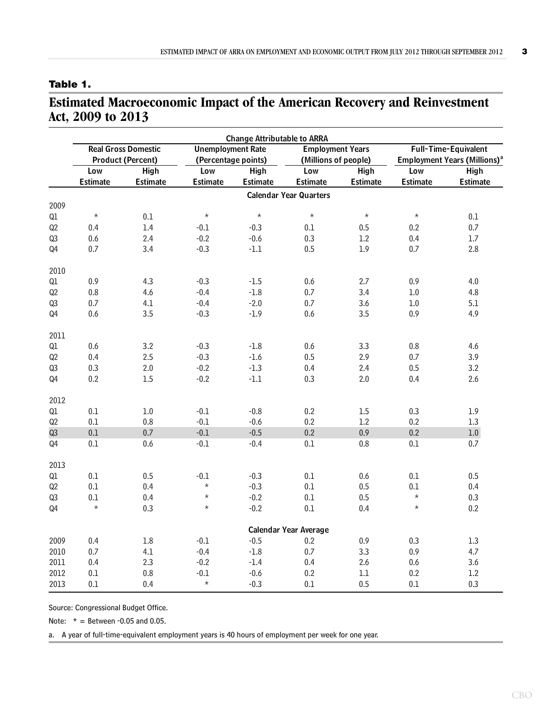### <span id="page-2-0"></span>**Table 1.**

# **Estimated Macroeconomic Impact of the American Recovery and Reinvestment Act, 2009 to 2013**

|      | <b>Change Attributable to ARRA</b>                     |             |                                                 |                 |                                                 |             |                                                                         |                 |  |  |
|------|--------------------------------------------------------|-------------|-------------------------------------------------|-----------------|-------------------------------------------------|-------------|-------------------------------------------------------------------------|-----------------|--|--|
|      | <b>Real Gross Domestic</b><br><b>Product (Percent)</b> |             | <b>Unemployment Rate</b><br>(Percentage points) |                 | <b>Employment Years</b><br>(Millions of people) |             | Full-Time-Equivalent<br><b>Employment Years (Millions)</b> <sup>a</sup> |                 |  |  |
|      |                                                        |             |                                                 |                 |                                                 |             |                                                                         |                 |  |  |
|      | Low                                                    | <b>High</b> | Low                                             | <b>High</b>     | Low                                             | <b>High</b> | Low                                                                     | <b>High</b>     |  |  |
|      | <b>Estimate</b>                                        | Estimate    | <b>Estimate</b>                                 | <b>Estimate</b> | <b>Estimate</b>                                 | Estimate    | Estimate                                                                | <b>Estimate</b> |  |  |
|      |                                                        |             |                                                 |                 | <b>Calendar Year Quarters</b>                   |             |                                                                         |                 |  |  |
| 2009 |                                                        |             |                                                 |                 |                                                 |             |                                                                         |                 |  |  |
| Q1   | $\star$                                                | 0.1         | $\star$                                         | $\star$         | $\star$                                         | $\star$     | $\star$                                                                 | $0.1\,$         |  |  |
| Q2   | 0.4                                                    | 1.4         | $\mbox{-}0.1$                                   | $-0.3$          | $0.1\,$                                         | $0.5\,$     | 0.2                                                                     | $0.7\,$         |  |  |
| Q3   | $0.6\,$                                                | 2.4         | $-0.2$                                          | $-0.6$          | 0.3                                             | $1.2\,$     | 0.4                                                                     | $1.7$           |  |  |
| Q4   | 0.7                                                    | 3.4         | $-0.3$                                          | $-1.1$          | 0.5                                             | 1.9         | 0.7                                                                     | 2.8             |  |  |
| 2010 |                                                        |             |                                                 |                 |                                                 |             |                                                                         |                 |  |  |
| Q1   | 0.9                                                    | 4.3         | $-0.3$                                          | $-1.5$          | 0.6                                             | 2.7         | 0.9                                                                     | 4.0             |  |  |
| Q2   | $0.8\,$                                                | 4.6         | $-0.4$                                          | $-1.8$          | 0.7                                             | 3.4         | 1.0                                                                     | 4.8             |  |  |
| Q3   | 0.7                                                    | 4.1         | $-0.4$                                          | $-2.0$          | 0.7                                             | 3.6         | $1.0\,$                                                                 | 5.1             |  |  |
| Q4   | 0.6                                                    | 3.5         | $-0.3$                                          | $-1.9$          | 0.6                                             | 3.5         | 0.9                                                                     | 4.9             |  |  |
|      |                                                        |             |                                                 |                 |                                                 |             |                                                                         |                 |  |  |
| 2011 |                                                        |             |                                                 |                 |                                                 |             |                                                                         |                 |  |  |
| Q1   | 0.6                                                    | 3.2         | $-0.3$                                          | $-1.8$          | 0.6                                             | 3.3         | $0.8\,$                                                                 | 4.6             |  |  |
| Q2   | 0.4                                                    | 2.5         | $-0.3$                                          | $-1.6$          | 0.5                                             | 2.9         | $0.7\,$                                                                 | 3.9             |  |  |
| Q3   | 0.3                                                    | 2.0         | $-0.2$                                          | $-1.3$          | 0.4                                             | 2.4         | 0.5                                                                     | 3.2             |  |  |
| Q4   | 0.2                                                    | $1.5\,$     | $-0.2$                                          | $\text{-}1.1$   | 0.3                                             | 2.0         | 0.4                                                                     | 2.6             |  |  |
|      |                                                        |             |                                                 |                 |                                                 |             |                                                                         |                 |  |  |
| 2012 |                                                        |             |                                                 |                 |                                                 |             |                                                                         |                 |  |  |
| Q1   | 0.1                                                    | 1.0         | $-0.1$                                          | $-0.8$          | 0.2                                             | 1.5         | 0.3                                                                     | 1.9             |  |  |
| Q2   | 0.1                                                    | 0.8         | $-0.1$                                          | $-0.6$          | $0.2\,$                                         | 1.2         | 0.2                                                                     | 1.3             |  |  |
| Q3   | 0.1                                                    | $0.7\,$     | $-0.1$                                          | $-0.5$          | 0.2                                             | 0.9         | 0.2                                                                     | $1.0\,$         |  |  |
| Q4   | 0.1                                                    | 0.6         | $-0.1$                                          | $-0.4$          | 0.1                                             | 0.8         | $0.1\,$                                                                 | 0.7             |  |  |
| 2013 |                                                        |             |                                                 |                 |                                                 |             |                                                                         |                 |  |  |
| Q1   | 0.1                                                    | 0.5         | $-0.1$                                          | $-0.3$          | 0.1                                             | 0.6         | 0.1                                                                     | 0.5             |  |  |
| Q2   | 0.1                                                    | 0.4         | $\star$                                         | $-0.3$          | 0.1                                             | 0.5         | 0.1                                                                     | 0.4             |  |  |
| Q3   | $0.1\,$                                                | 0.4         | $\star$                                         | $-0.2$          | 0.1                                             | 0.5         | $\star$                                                                 | 0.3             |  |  |
| Q4   | $\star$                                                | 0.3         | $\star$                                         | $-0.2$          | 0.1                                             | 0.4         | $\star$                                                                 | 0.2             |  |  |
|      |                                                        |             |                                                 |                 |                                                 |             |                                                                         |                 |  |  |
|      |                                                        |             |                                                 |                 | <b>Calendar Year Average</b>                    |             |                                                                         |                 |  |  |
| 2009 | 0.4                                                    | $1.8\,$     | $-0.1$                                          | $-0.5$          | 0.2                                             | $0.9\,$     | 0.3                                                                     | $1.3\,$         |  |  |
| 2010 | 0.7                                                    | 4.1         | $-0.4$                                          | $-1.8$          | 0.7                                             | 3.3         | 0.9                                                                     | 4.7             |  |  |
| 2011 | 0.4                                                    | 2.3         | $-0.2$                                          | $-1.4$          | 0.4                                             | 2.6         | 0.6                                                                     | 3.6             |  |  |
| 2012 | $0.1\,$                                                | 0.8         | $-0.1$                                          | $-0.6$          | 0.2                                             | $1.1\,$     | 0.2                                                                     | $1.2\,$         |  |  |
| 2013 | $0.1\,$                                                | 0.4         | $\star$                                         | $-0.3$          | 0.1                                             | 0.5         | $0.1\,$                                                                 | 0.3             |  |  |

Source: Congressional Budget Office.

Note:  $* =$  Between -0.05 and 0.05.

a. A year of full-time-equivalent employment years is 40 hours of employment per week for one year.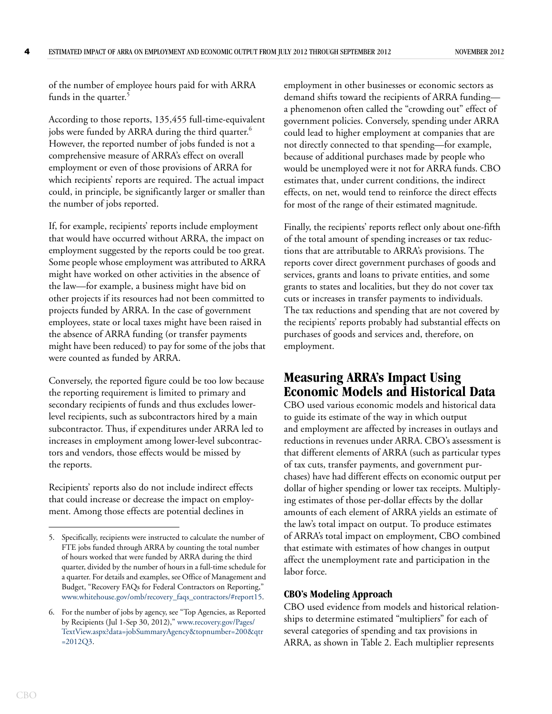of the number of employee hours paid for with ARRA funds in the quarter.<sup>5</sup>

According to those reports, 135,455 full-time-equivalent jobs were funded by ARRA during the third quarter.<sup>6</sup> However, the reported number of jobs funded is not a comprehensive measure of ARRA's effect on overall employment or even of those provisions of ARRA for which recipients' reports are required. The actual impact could, in principle, be significantly larger or smaller than the number of jobs reported.

If, for example, recipients' reports include employment that would have occurred without ARRA, the impact on employment suggested by the reports could be too great. Some people whose employment was attributed to ARRA might have worked on other activities in the absence of the law—for example, a business might have bid on other projects if its resources had not been committed to projects funded by ARRA. In the case of government employees, state or local taxes might have been raised in the absence of ARRA funding (or transfer payments might have been reduced) to pay for some of the jobs that were counted as funded by ARRA.

Conversely, the reported figure could be too low because the reporting requirement is limited to primary and secondary recipients of funds and thus excludes lowerlevel recipients, such as subcontractors hired by a main subcontractor. Thus, if expenditures under ARRA led to increases in employment among lower-level subcontractors and vendors, those effects would be missed by the reports.

Recipients' reports also do not include indirect effects that could increase or decrease the impact on employment. Among those effects are potential declines in

employment in other businesses or economic sectors as demand shifts toward the recipients of ARRA funding a phenomenon often called the "crowding out" effect of government policies. Conversely, spending under ARRA could lead to higher employment at companies that are not directly connected to that spending—for example, because of additional purchases made by people who would be unemployed were it not for ARRA funds. CBO estimates that, under current conditions, the indirect effects, on net, would tend to reinforce the direct effects for most of the range of their estimated magnitude.

Finally, the recipients' reports reflect only about one-fifth of the total amount of spending increases or tax reductions that are attributable to ARRA's provisions. The reports cover direct government purchases of goods and services, grants and loans to private entities, and some grants to states and localities, but they do not cover tax cuts or increases in transfer payments to individuals. The tax reductions and spending that are not covered by the recipients' reports probably had substantial effects on purchases of goods and services and, therefore, on employment.

### **Measuring ARRA's Impact Using Economic Models and Historical Data**

CBO used various economic models and historical data to guide its estimate of the way in which output and employment are affected by increases in outlays and reductions in revenues under ARRA. CBO's assessment is that different elements of ARRA (such as particular types of tax cuts, transfer payments, and government purchases) have had different effects on economic output per dollar of higher spending or lower tax receipts. Multiplying estimates of those per-dollar effects by the dollar amounts of each element of ARRA yields an estimate of the law's total impact on output. To produce estimates of ARRA's total impact on employment, CBO combined that estimate with estimates of how changes in output affect the unemployment rate and participation in the labor force.

#### **CBO's Modeling Approach**

CBO used evidence from models and historical relationships to determine estimated "multipliers" for each of several categories of spending and tax provisions in ARRA, as shown in [Table 2.](#page-5-0) Each multiplier represents

<sup>5.</sup> Specifically, recipients were instructed to calculate the number of FTE jobs funded through ARRA by counting the total number of hours worked that were funded by ARRA during the third quarter, divided by the number of hours in a full-time schedule for a quarter. For details and examples, see Office of Management and Budget, "Recovery FAQs for Federal Contractors on Reporting," [www.whitehouse.gov/omb/recovery\\_faqs\\_contractors/#report15.](http://www.whitehouse.gov/omb/recovery_faqs_contractors/#report15)

<sup>6.</sup> For the number of jobs by agency, see "Top Agencies, as Reported by Recipients (Jul 1-Sep 30, 2012)," w[ww.recovery.gov/Pages/](http://www.recovery.gov/Pages/TextView.aspx?data=jobSummaryAgency&topnumber=200&qtr=2012Q3) [TextView.aspx?data=jobSummaryAgency&topnumber=200&qtr](http://www.recovery.gov/Pages/TextView.aspx?data=jobSummaryAgency&topnumber=200&qtr=2012Q3) [=2012Q3](http://www.recovery.gov/Pages/TextView.aspx?data=jobSummaryAgency&topnumber=200&qtr=2012Q3).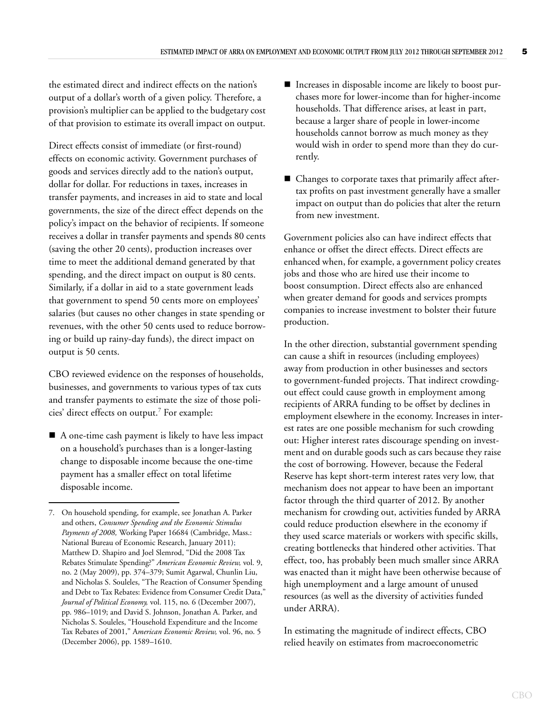the estimated direct and indirect effects on the nation's output of a dollar's worth of a given policy. Therefore, a provision's multiplier can be applied to the budgetary cost of that provision to estimate its overall impact on output.

Direct effects consist of immediate (or first-round) effects on economic activity. Government purchases of goods and services directly add to the nation's output, dollar for dollar. For reductions in taxes, increases in transfer payments, and increases in aid to state and local governments, the size of the direct effect depends on the policy's impact on the behavior of recipients. If someone receives a dollar in transfer payments and spends 80 cents (saving the other 20 cents), production increases over time to meet the additional demand generated by that spending, and the direct impact on output is 80 cents. Similarly, if a dollar in aid to a state government leads that government to spend 50 cents more on employees' salaries (but causes no other changes in state spending or revenues, with the other 50 cents used to reduce borrowing or build up rainy-day funds), the direct impact on output is 50 cents.

CBO reviewed evidence on the responses of households, businesses, and governments to various types of tax cuts and transfer payments to estimate the size of those policies' direct effects on output.<sup>7</sup> For example:

■ A one-time cash payment is likely to have less impact on a household's purchases than is a longer-lasting change to disposable income because the one-time payment has a smaller effect on total lifetime disposable income.

- Increases in disposable income are likely to boost purchases more for lower-income than for higher-income households. That difference arises, at least in part, because a larger share of people in lower-income households cannot borrow as much money as they would wish in order to spend more than they do currently.
- Changes to corporate taxes that primarily affect aftertax profits on past investment generally have a smaller impact on output than do policies that alter the return from new investment.

Government policies also can have indirect effects that enhance or offset the direct effects. Direct effects are enhanced when, for example, a government policy creates jobs and those who are hired use their income to boost consumption. Direct effects also are enhanced when greater demand for goods and services prompts companies to increase investment to bolster their future production.

In the other direction, substantial government spending can cause a shift in resources (including employees) away from production in other businesses and sectors to government-funded projects. That indirect crowdingout effect could cause growth in employment among recipients of ARRA funding to be offset by declines in employment elsewhere in the economy. Increases in interest rates are one possible mechanism for such crowding out: Higher interest rates discourage spending on investment and on durable goods such as cars because they raise the cost of borrowing. However, because the Federal Reserve has kept short-term interest rates very low, that mechanism does not appear to have been an important factor through the third quarter of 2012. By another mechanism for crowding out, activities funded by ARRA could reduce production elsewhere in the economy if they used scarce materials or workers with specific skills, creating bottlenecks that hindered other activities. That effect, too, has probably been much smaller since ARRA was enacted than it might have been otherwise because of high unemployment and a large amount of unused resources (as well as the diversity of activities funded under ARRA).

In estimating the magnitude of indirect effects, CBO relied heavily on estimates from macroeconometric

<sup>7.</sup> On household spending, for example, see Jonathan A. Parker and others, *Consumer Spending and the Economic Stimulus Payments of 2008,* Working Paper 16684 (Cambridge, Mass.: National Bureau of Economic Research, January 2011); Matthew D. Shapiro and Joel Slemrod, "Did the 2008 Tax Rebates Stimulate Spending?" *American Economic Review,* vol. 9, no. 2 (May 2009), pp. 374–379; Sumit Agarwal, Chunlin Liu, and Nicholas S. Souleles, "The Reaction of Consumer Spending and Debt to Tax Rebates: Evidence from Consumer Credit Data," *Journal of Political Economy,* vol. 115, no. 6 (December 2007), pp. 986–1019; and David S. Johnson, Jonathan A. Parker, and Nicholas S. Souleles, "Household Expenditure and the Income Tax Rebates of 2001," A*merican Economic Review,* vol. 96, no. 5 (December 2006), pp. 1589–1610.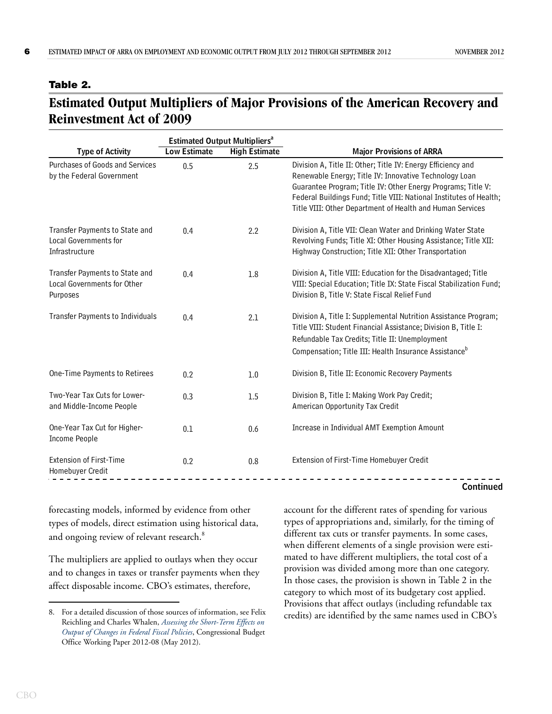#### <span id="page-5-0"></span>**Table 2.**

# **Estimated Output Multipliers of Major Provisions of the American Recovery and Reinvestment Act of 2009**

|                                                                                  |                     | <b>Estimated Output Multipliers<sup>a</sup></b> |                                                                                                                                                                                                                                                                                                                           |  |  |
|----------------------------------------------------------------------------------|---------------------|-------------------------------------------------|---------------------------------------------------------------------------------------------------------------------------------------------------------------------------------------------------------------------------------------------------------------------------------------------------------------------------|--|--|
| <b>Type of Activity</b>                                                          | <b>Low Estimate</b> | <b>High Estimate</b>                            | <b>Major Provisions of ARRA</b>                                                                                                                                                                                                                                                                                           |  |  |
| Purchases of Goods and Services<br>by the Federal Government                     | 0.5                 | 2.5                                             | Division A, Title II: Other; Title IV: Energy Efficiency and<br>Renewable Energy; Title IV: Innovative Technology Loan<br>Guarantee Program; Title IV: Other Energy Programs; Title V:<br>Federal Buildings Fund; Title VIII: National Institutes of Health;<br>Title VIII: Other Department of Health and Human Services |  |  |
| Transfer Payments to State and<br><b>Local Governments for</b><br>Infrastructure | 0.4                 | 2.2                                             | Division A, Title VII: Clean Water and Drinking Water State<br>Revolving Funds; Title XI: Other Housing Assistance; Title XII:<br>Highway Construction; Title XII: Other Transportation                                                                                                                                   |  |  |
| Transfer Payments to State and<br>Local Governments for Other<br>Purposes        | 0.4                 | 1.8                                             | Division A, Title VIII: Education for the Disadvantaged; Title<br>VIII: Special Education; Title IX: State Fiscal Stabilization Fund;<br>Division B, Title V: State Fiscal Relief Fund                                                                                                                                    |  |  |
| <b>Transfer Payments to Individuals</b>                                          | 0.4                 | 2.1                                             | Division A, Title I: Supplemental Nutrition Assistance Program;<br>Title VIII: Student Financial Assistance; Division B, Title I:<br>Refundable Tax Credits; Title II: Unemployment<br>Compensation; Title III: Health Insurance Assistance <sup>b</sup>                                                                  |  |  |
| One-Time Payments to Retirees                                                    | 0.2                 | 1.0                                             | Division B, Title II: Economic Recovery Payments                                                                                                                                                                                                                                                                          |  |  |
| Two-Year Tax Cuts for Lower-<br>and Middle-Income People                         | 0.3                 | 1.5                                             | Division B, Title I: Making Work Pay Credit;<br>American Opportunity Tax Credit                                                                                                                                                                                                                                           |  |  |
| One-Year Tax Cut for Higher-<br><b>Income People</b>                             | 0.1                 | 0.6                                             | Increase in Individual AMT Exemption Amount                                                                                                                                                                                                                                                                               |  |  |
| <b>Extension of First-Time</b><br>Homebuyer Credit                               | 0.2                 | 0.8                                             | Extension of First-Time Homebuyer Credit                                                                                                                                                                                                                                                                                  |  |  |

**Continued**

forecasting models, informed by evidence from other types of models, direct estimation using historical data, and ongoing review of relevant research.<sup>8</sup>

The multipliers are applied to outlays when they occur and to changes in taxes or transfer payments when they affect disposable income. CBO's estimates, therefore,

account for the different rates of spending for various types of appropriations and, similarly, for the timing of different tax cuts or transfer payments. In some cases, when different elements of a single provision were estimated to have different multipliers, the total cost of a provision was divided among more than one category. In those cases, the provision is shown in [Table 2](#page-5-0) in the category to which most of its budgetary cost applied. Provisions that affect outlays (including refundable tax credits) are identified by the same names used in CBO's

<sup>8.</sup> For a detailed discussion of those sources of information, see Felix Reichling and Charles Whalen, *[Assessing the Short-Term Effects on](http://www.cbo.gov/publication/43278)  [Output of Changes in Federal Fiscal Policies](http://www.cbo.gov/publication/43278)*, Congressional Budget Office Working Paper 2012-08 (May 2012).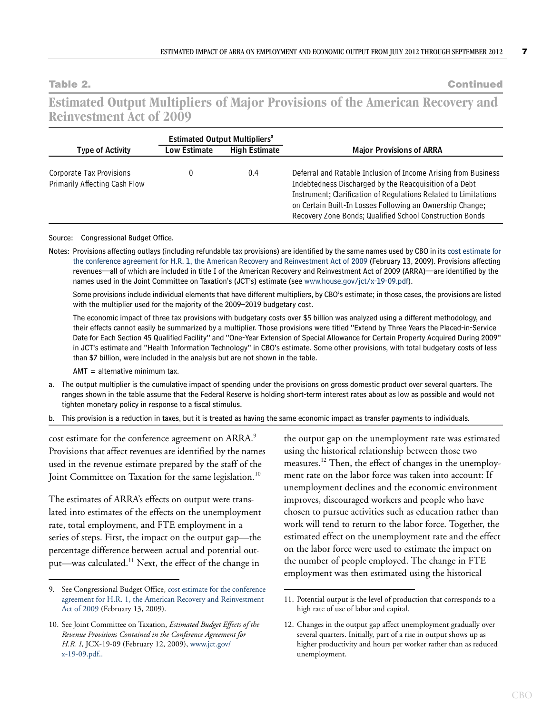**Table 2. Continued**

## **Estimated Output Multipliers of Major Provisions of the American Recovery and Reinvestment Act of 2009**

|                                                           |                     | <b>Estimated Output Multipliers<sup>a</sup></b> |                                                                                                                                                                                                                                                                                                                      |  |  |
|-----------------------------------------------------------|---------------------|-------------------------------------------------|----------------------------------------------------------------------------------------------------------------------------------------------------------------------------------------------------------------------------------------------------------------------------------------------------------------------|--|--|
| <b>Type of Activity</b>                                   | <b>Low Estimate</b> | <b>High Estimate</b>                            | <b>Major Provisions of ARRA</b>                                                                                                                                                                                                                                                                                      |  |  |
| Corporate Tax Provisions<br>Primarily Affecting Cash Flow |                     | 0.4                                             | Deferral and Ratable Inclusion of Income Arising from Business<br>Indebtedness Discharged by the Reacquisition of a Debt<br>Instrument; Clarification of Regulations Related to Limitations<br>on Certain Built-In Losses Following an Ownership Change;<br>Recovery Zone Bonds; Qualified School Construction Bonds |  |  |

#### Source: Congressional Budget Office.

Notes: Provisions affecting outlays (including refundable tax provisions) are identified by the same names used by CBO in its [cost estimate for](http://www.cbo.gov/doc.cfm?index=9989&zzz=38482)  [the conference agreement for H.R. 1, the American Recovery and Reinvestment Act of 2009](http://www.cbo.gov/doc.cfm?index=9989&zzz=38482) (February 13, 2009). Provisions affecting revenues—all of which are included in title I of the American Recovery and Reinvestment Act of 2009 (ARRA)—are identified by the names used in the Joint Committee on Taxation's (JCT's) estimate (see [www.house.gov/jct/x-19-09.pdf\)](http://www.house.gov/jct/x-19-09.pdf).

Some provisions include individual elements that have different multipliers, by CBO's estimate; in those cases, the provisions are listed with the multiplier used for the majority of the 2009–2019 budgetary cost.

The economic impact of three tax provisions with budgetary costs over \$5 billion was analyzed using a different methodology, and their effects cannot easily be summarized by a multiplier. Those provisions were titled "Extend by Three Years the Placed-in-Service Date for Each Section 45 Qualified Facility" and "One-Year Extension of Special Allowance for Certain Property Acquired During 2009" in JCT's estimate and "Health Information Technology" in CBO's estimate. Some other provisions, with total budgetary costs of less than \$7 billion, were included in the analysis but are not shown in the table.

AMT = alternative minimum tax.

- a. The output multiplier is the cumulative impact of spending under the provisions on gross domestic product over several quarters. The ranges shown in the table assume that the Federal Reserve is holding short-term interest rates about as low as possible and would not tighten monetary policy in response to a fiscal stimulus.
- b. This provision is a reduction in taxes, but it is treated as having the same economic impact as transfer payments to individuals.

cost estimate for the conference agreement on ARRA.<sup>9</sup> Provisions that affect revenues are identified by the names used in the revenue estimate prepared by the staff of the Joint Committee on Taxation for the same legislation.<sup>10</sup>

The estimates of ARRA's effects on output were translated into estimates of the effects on the unemployment rate, total employment, and FTE employment in a series of steps. First, the impact on the output gap—the percentage difference between actual and potential output—was calculated.<sup>11</sup> Next, the effect of the change in

the output gap on the unemployment rate was estimated using the historical relationship between those two measures.12 Then, the effect of changes in the unemployment rate on the labor force was taken into account: If unemployment declines and the economic environment improves, discouraged workers and people who have chosen to pursue activities such as education rather than work will tend to return to the labor force. Together, the estimated effect on the unemployment rate and the effect on the labor force were used to estimate the impact on the number of people employed. The change in FTE employment was then estimated using the historical

<sup>9.</sup> See Congressional Budget Office, [cost estimate for the conference](http://www.cbo.gov/publication/41762)  [agreement for H.R. 1, the American Recovery and Reinvestment](http://www.cbo.gov/publication/41762)  [Act of 2009](http://www.cbo.gov/publication/41762) (February 13, 2009).

<sup>10.</sup> See Joint Committee on Taxation, *Estimated Budget Effects of the Revenue Provisions Contained in the Conference Agreement for H.R. 1,* JCX-19-09 (February 12, 2009), [www.jct.gov/](http://www.jct.gov/
x-19-09.pdf) [x-19-09.pdf.](http://www.jct.gov/
x-19-09.pdf).

<sup>11.</sup> Potential output is the level of production that corresponds to a high rate of use of labor and capital.

<sup>12.</sup> Changes in the output gap affect unemployment gradually over several quarters. Initially, part of a rise in output shows up as higher productivity and hours per worker rather than as reduced unemployment.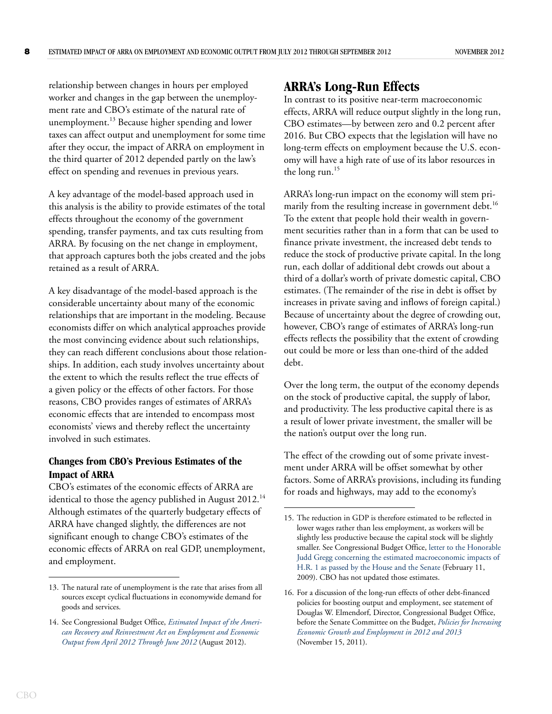relationship between changes in hours per employed worker and changes in the gap between the unemployment rate and CBO's estimate of the natural rate of unemployment.<sup>13</sup> Because higher spending and lower taxes can affect output and unemployment for some time after they occur, the impact of ARRA on employment in the third quarter of 2012 depended partly on the law's effect on spending and revenues in previous years.

A key advantage of the model-based approach used in this analysis is the ability to provide estimates of the total effects throughout the economy of the government spending, transfer payments, and tax cuts resulting from ARRA. By focusing on the net change in employment, that approach captures both the jobs created and the jobs retained as a result of ARRA.

A key disadvantage of the model-based approach is the considerable uncertainty about many of the economic relationships that are important in the modeling. Because economists differ on which analytical approaches provide the most convincing evidence about such relationships, they can reach different conclusions about those relationships. In addition, each study involves uncertainty about the extent to which the results reflect the true effects of a given policy or the effects of other factors. For those reasons, CBO provides ranges of estimates of ARRA's economic effects that are intended to encompass most economists' views and thereby reflect the uncertainty involved in such estimates.

### **Changes from CBO's Previous Estimates of the Impact of ARRA**

CBO's estimates of the economic effects of ARRA are identical to those the agency published in August 2012.<sup>14</sup> Although estimates of the quarterly budgetary effects of ARRA have changed slightly, the differences are not significant enough to change CBO's estimates of the economic effects of ARRA on real GDP, unemployment, and employment.

# **ARRA's Long-Run Effects**

In contrast to its positive near-term macroeconomic effects, ARRA will reduce output slightly in the long run, CBO estimates—by between zero and 0.2 percent after 2016. But CBO expects that the legislation will have no long-term effects on employment because the U.S. economy will have a high rate of use of its labor resources in the long run.<sup>15</sup>

ARRA's long-run impact on the economy will stem primarily from the resulting increase in government debt.<sup>16</sup> To the extent that people hold their wealth in government securities rather than in a form that can be used to finance private investment, the increased debt tends to reduce the stock of productive private capital. In the long run, each dollar of additional debt crowds out about a third of a dollar's worth of private domestic capital, CBO estimates. (The remainder of the rise in debt is offset by increases in private saving and inflows of foreign capital.) Because of uncertainty about the degree of crowding out, however, CBO's range of estimates of ARRA's long-run effects reflects the possibility that the extent of crowding out could be more or less than one-third of the added debt.

Over the long term, the output of the economy depends on the stock of productive capital, the supply of labor, and productivity. The less productive capital there is as a result of lower private investment, the smaller will be the nation's output over the long run.

The effect of the crowding out of some private investment under ARRA will be offset somewhat by other factors. Some of ARRA's provisions, including its funding for roads and highways, may add to the economy's

<sup>13.</sup> The natural rate of unemployment is the rate that arises from all sources except cyclical fluctuations in economywide demand for goods and services.

<sup>14.</sup> See Congressional Budget Office, *[Estimated Impact of the Ameri](http://www.cbo.gov/publication/43552)[can Recovery and Reinvestment Act on Employment and Economic](http://www.cbo.gov/publication/43552)  [Output from April 2012 Through June 2012](http://www.cbo.gov/publication/43552)* (August 2012).

<sup>15.</sup> The reduction in GDP is therefore estimated to be reflected in lower wages rather than less employment, as workers will be slightly less productive because the capital stock will be slightly smaller. See Congressional Budget Office, [letter to the Honorable](http://www.cbo.gov/publication/20474)  [Judd Gregg concerning the estimated macroeconomic impacts of](http://www.cbo.gov/publication/20474)  [H.R. 1 as passed by the House and the Senate](http://www.cbo.gov/publication/20474) (February 11, 2009). CBO has not updated those estimates.

<sup>16.</sup> For a discussion of the long-run effects of other debt-financed policies for boosting output and employment, see statement of Douglas W. Elmendorf, Director, Congressional Budget Office, before the Senate Committee on the Budget, *[Policies for Increasing](http://www.cbo.gov/publication/42717)  [Economic Growth and Employment in 2012 and 2013](http://www.cbo.gov/publication/42717)* (November 15, 2011).